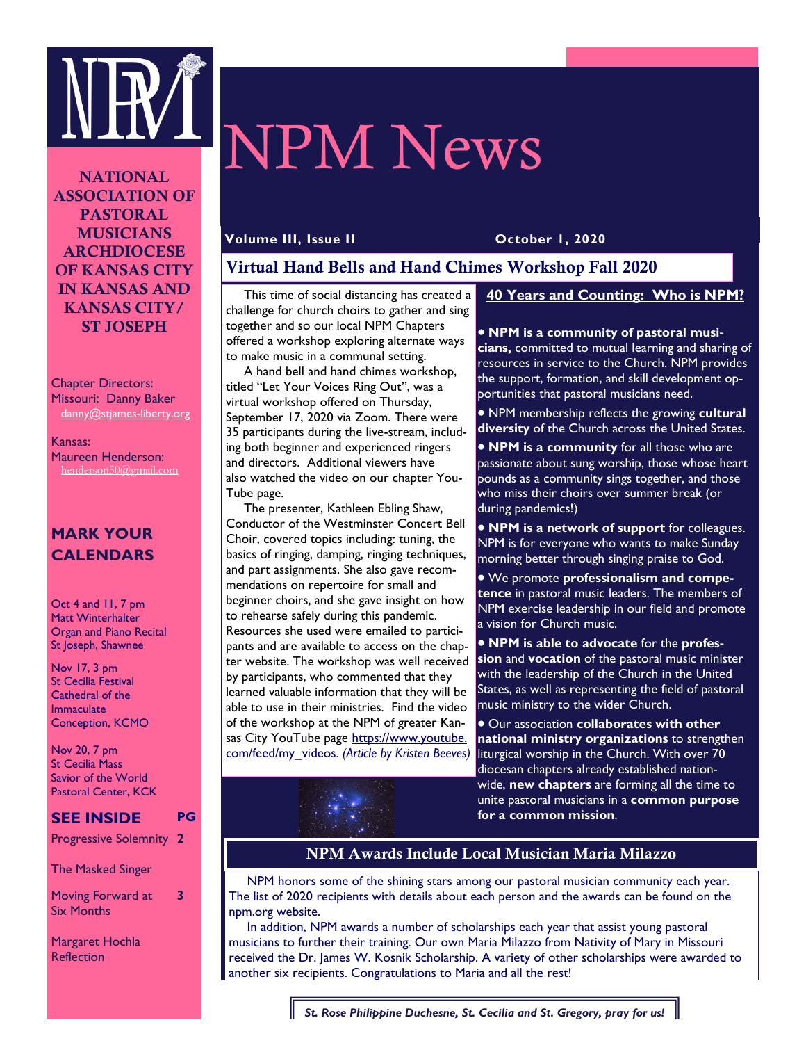

# NPM News

**NATIONAL ASSOCIATION OF PASTORAL MUSICIANS ARCHDIOCESE OF KANSAS CITY IN KANSAS AND KANSAS CITY/ ST JOSEPH** 

Chapter Directors: Missouri: Danny Baker danny@stjames-liberty.org

Kansas: Maureen Henderson: henderson50@gmail.com

# **MARK YOUR CALENDARS**

Oct 4 and 11, 7 pm Matt Winterhalter Organ and Piano Recital St Joseph, Shawnee

Nov 17, 3 pm St Cecilia Festival Cathedral of the Immaculate Conception, KCMO

Nov 20, 7 pm St Cecilia Mass Savior of the World Pastoral Center, KCK

# **SEE INSIDE PG**

Progressive Solemnity **2** 

The Masked Singer

Moving Forward at Six Months

**3** 

Margaret Hochla **Reflection** 

#### **Volume III, Issue II October 1, 2020**

# **Virtual Hand Bells and Hand Chimes Workshop Fall 2020**

 This time of social distancing has created a challenge for church choirs to gather and sing together and so our local NPM Chapters offered a workshop exploring alternate ways to make music in a communal setting.

 A hand bell and hand chimes workshop, titled "Let Your Voices Ring Out", was a virtual workshop offered on Thursday, September 17, 2020 via Zoom. There were 35 participants during the live-stream, including both beginner and experienced ringers and directors. Additional viewers have also watched the video on our chapter You-Tube page.

 The presenter, Kathleen Ebling Shaw, Conductor of the Westminster Concert Bell Choir, covered topics including: tuning, the basics of ringing, damping, ringing techniques, and part assignments. She also gave recommendations on repertoire for small and beginner choirs, and she gave insight on how to rehearse safely during this pandemic. Resources she used were emailed to participants and are available to access on the chapter website. The workshop was well received by participants, who commented that they learned valuable information that they will be able to use in their ministries. Find the video of the workshop at the NPM of greater Kansas City YouTube page https://www.youtube. com/feed/my\_videos. *(Article by Kristen Beeves)*

# **40 Years and Counting: Who is NPM?**

· **NPM is a community of pastoral musi-**

**cians,** committed to mutual learning and sharing of resources in service to the Church. NPM provides the support, formation, and skill development opportunities that pastoral musicians need.

· NPM membership reflects the growing **cultural diversity** of the Church across the United States.

· **NPM is a community** for all those who are passionate about sung worship, those whose heart pounds as a community sings together, and those who miss their choirs over summer break (or during pandemics!)

· **NPM is a network of support** for colleagues. NPM is for everyone who wants to make Sunday morning better through singing praise to God.

· We promote **professionalism and competence** in pastoral music leaders. The members of NPM exercise leadership in our field and promote a vision for Church music.

· **NPM is able to advocate** for the **profession** and **vocation** of the pastoral music minister with the leadership of the Church in the United States, as well as representing the field of pastoral music ministry to the wider Church.

· Our association **collaborates with other national ministry organizations** to strengthen liturgical worship in the Church. With over 70 diocesan chapters already established nationwide, **new chapters** are forming all the time to unite pastoral musicians in a **common purpose for a common mission**.



 NPM honors some of the shining stars among our pastoral musician community each year. The list of 2020 recipients with details about each person and the awards can be found on the npm.org website.

 In addition, NPM awards a number of scholarships each year that assist young pastoral musicians to further their training. Our own Maria Milazzo from Nativity of Mary in Missouri received the Dr. James W. Kosnik Scholarship. A variety of other scholarships were awarded to another six recipients. Congratulations to Maria and all the rest!

*St. Rose Philippine Duchesne, St. Cecilia and St. Gregory, pray for us!*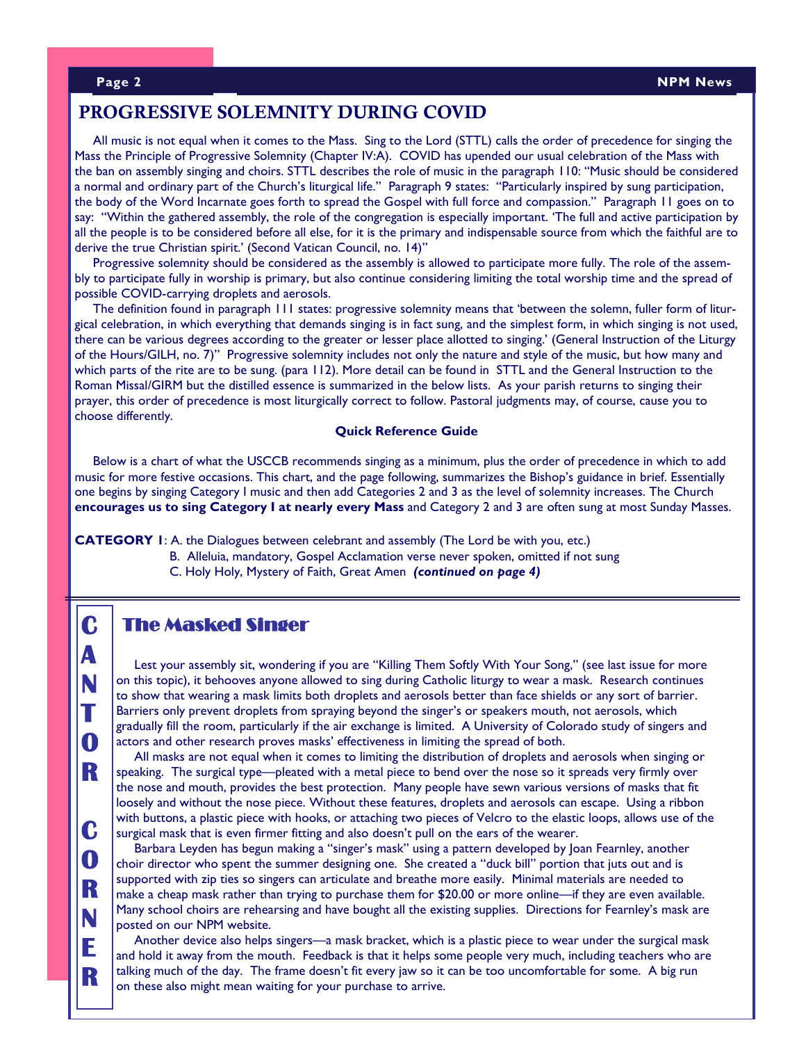# **PROGRESSIVE SOLEMNITY DURING COVID**

 All music is not equal when it comes to the Mass. Sing to the Lord (STTL) calls the order of precedence for singing the Mass the Principle of Progressive Solemnity (Chapter IV:A). COVID has upended our usual celebration of the Mass with the ban on assembly singing and choirs. STTL describes the role of music in the paragraph 110: "Music should be considered a normal and ordinary part of the Church's liturgical life." Paragraph 9 states: "Particularly inspired by sung participation, the body of the Word Incarnate goes forth to spread the Gospel with full force and compassion." Paragraph 11 goes on to say: "Within the gathered assembly, the role of the congregation is especially important. 'The full and active participation by all the people is to be considered before all else, for it is the primary and indispensable source from which the faithful are to derive the true Christian spirit.' (Second Vatican Council, no. 14)"

 Progressive solemnity should be considered as the assembly is allowed to participate more fully. The role of the assembly to participate fully in worship is primary, but also continue considering limiting the total worship time and the spread of possible COVID-carrying droplets and aerosols.

 The definition found in paragraph 111 states: progressive solemnity means that 'between the solemn, fuller form of liturgical celebration, in which everything that demands singing is in fact sung, and the simplest form, in which singing is not used, there can be various degrees according to the greater or lesser place allotted to singing.' (General Instruction of the Liturgy of the Hours/GILH, no. 7)" Progressive solemnity includes not only the nature and style of the music, but how many and which parts of the rite are to be sung. (para 112). More detail can be found in STTL and the General Instruction to the Roman Missal/GIRM but the distilled essence is summarized in the below lists. As your parish returns to singing their prayer, this order of precedence is most liturgically correct to follow. Pastoral judgments may, of course, cause you to choose differently.

#### **Quick Reference Guide**

 Below is a chart of what the USCCB recommends singing as a minimum, plus the order of precedence in which to add music for more festive occasions. This chart, and the page following, summarizes the Bishop's guidance in brief. Essentially one begins by singing Category I music and then add Categories 2 and 3 as the level of solemnity increases. The Church **encourages us to sing Category I at nearly every Mass** and Category 2 and 3 are often sung at most Sunday Masses.

**CATEGORY 1**: A. the Dialogues between celebrant and assembly (The Lord be with you, etc.)

B. Alleluia, mandatory, Gospel Acclamation verse never spoken, omitted if not sung C. Holy Holy, Mystery of Faith, Great Amen *(continued on page 4)*

# **The Masked Singer**

**C** 

**A** 

**N** 

**T** 

**O** 

**R** 

**C** 

**O** 

**R** 

**N** 

**E** 

**R** 

 Lest your assembly sit, wondering if you are "Killing Them Softly With Your Song," (see last issue for more on this topic), it behooves anyone allowed to sing during Catholic liturgy to wear a mask. Research continues to show that wearing a mask limits both droplets and aerosols better than face shields or any sort of barrier. Barriers only prevent droplets from spraying beyond the singer's or speakers mouth, not aerosols, which gradually fill the room, particularly if the air exchange is limited. A University of Colorado study of singers and actors and other research proves masks' effectiveness in limiting the spread of both.

 All masks are not equal when it comes to limiting the distribution of droplets and aerosols when singing or speaking. The surgical type—pleated with a metal piece to bend over the nose so it spreads very firmly over the nose and mouth, provides the best protection. Many people have sewn various versions of masks that fit loosely and without the nose piece. Without these features, droplets and aerosols can escape. Using a ribbon with buttons, a plastic piece with hooks, or attaching two pieces of Velcro to the elastic loops, allows use of the surgical mask that is even firmer fitting and also doesn't pull on the ears of the wearer.

 Barbara Leyden has begun making a "singer's mask" using a pattern developed by Joan Fearnley, another choir director who spent the summer designing one. She created a "duck bill" portion that juts out and is supported with zip ties so singers can articulate and breathe more easily. Minimal materials are needed to make a cheap mask rather than trying to purchase them for \$20.00 or more online—if they are even available. Many school choirs are rehearsing and have bought all the existing supplies. Directions for Fearnley's mask are posted on our NPM website.

 Another device also helps singers—a mask bracket, which is a plastic piece to wear under the surgical mask and hold it away from the mouth. Feedback is that it helps some people very much, including teachers who are talking much of the day. The frame doesn't fit every jaw so it can be too uncomfortable for some. A big run on these also might mean waiting for your purchase to arrive.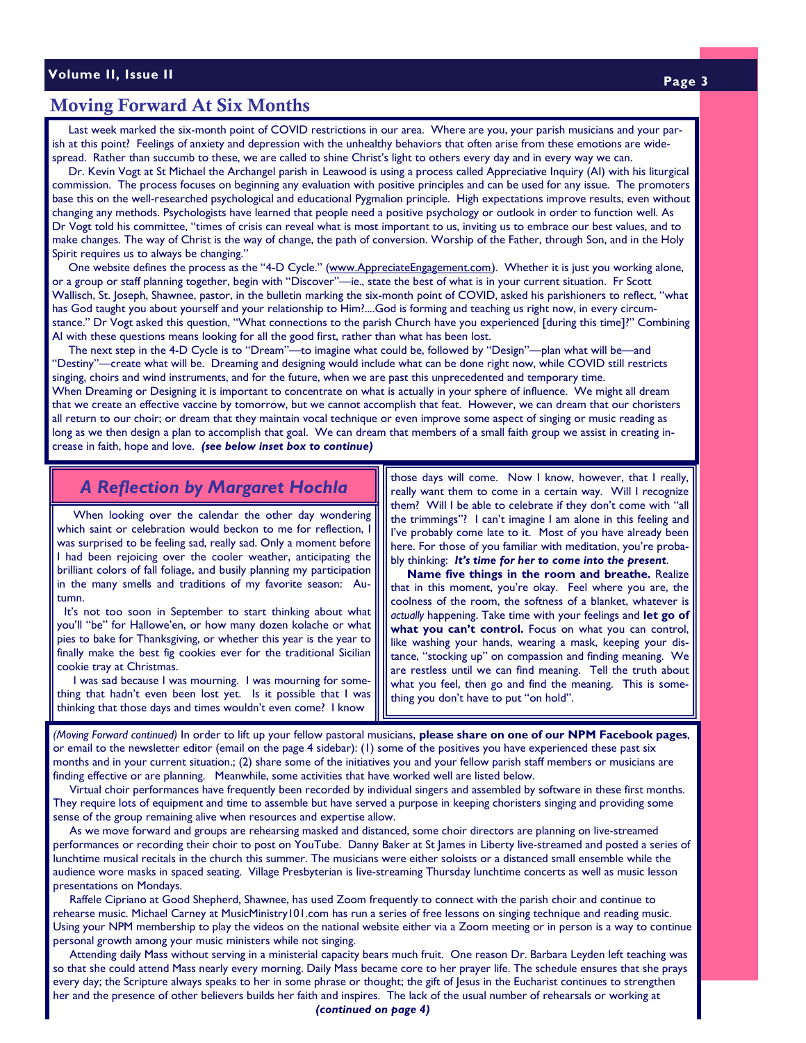# **Moving Forward At Six Months**

 Last week marked the six-month point of COVID restrictions in our area. Where are you, your parish musicians and your parish at this point? Feelings of anxiety and depression with the unhealthy behaviors that often arise from these emotions are widespread. Rather than succumb to these, we are called to shine Christ's light to others every day and in every way we can.

 Dr. Kevin Vogt at St Michael the Archangel parish in Leawood is using a process called Appreciative Inquiry (AI) with his liturgical commission. The process focuses on beginning any evaluation with positive principles and can be used for any issue. The promoters base this on the well-researched psychological and educational Pygmalion principle. High expectations improve results, even without changing any methods. Psychologists have learned that people need a positive psychology or outlook in order to function well. As Dr Vogt told his committee, "times of crisis can reveal what is most important to us, inviting us to embrace our best values, and to make changes. The way of Christ is the way of change, the path of conversion. Worship of the Father, through Son, and in the Holy Spirit requires us to always be changing."

One website defines the process as the "4-D Cycle." (www.AppreciateEngagement.com). Whether it is just you working alone, or a group or staff planning together, begin with "Discover"—ie., state the best of what is in your current situation. Fr Scott Wallisch, St. Joseph, Shawnee, pastor, in the bulletin marking the six-month point of COVID, asked his parishioners to reflect, "what has God taught you about yourself and your relationship to Him?....God is forming and teaching us right now, in every circumstance." Dr Vogt asked this question, "What connections to the parish Church have you experienced [during this time]?" Combining AI with these questions means looking for all the good first, rather than what has been lost.

 The next step in the 4-D Cycle is to "Dream"—to imagine what could be, followed by "Design"—plan what will be—and "Destiny"—create what will be. Dreaming and designing would include what can be done right now, while COVID still restricts singing, choirs and wind instruments, and for the future, when we are past this unprecedented and temporary time. When Dreaming or Designing it is important to concentrate on what is actually in your sphere of influence. We might all dream that we create an effective vaccine by tomorrow, but we cannot accomplish that feat. However, we can dream that our choristers all return to our choir; or dream that they maintain vocal technique or even improve some aspect of singing or music reading as long as we then design a plan to accomplish that goal. We can dream that members of a small faith group we assist in creating increase in faith, hope and love. *(see below inset box to continue)*

# *A Reflection by Margaret Hochla*

 When looking over the calendar the other day wondering which saint or celebration would beckon to me for reflection, I was surprised to be feeling sad, really sad. Only a moment before I had been rejoicing over the cooler weather, anticipating the brilliant colors of fall foliage, and busily planning my participation in the many smells and traditions of my favorite season: Autumn.

 It's not too soon in September to start thinking about what you'll "be" for Hallowe'en, or how many dozen kolache or what pies to bake for Thanksgiving, or whether this year is the year to finally make the best fig cookies ever for the traditional Sicilian cookie tray at Christmas.

 I was sad because I was mourning. I was mourning for something that hadn't even been lost yet. Is it possible that I was thinking that those days and times wouldn't even come? I know

those days will come. Now I know, however, that I really, really want them to come in a certain way. Will I recognize them? Will I be able to celebrate if they don't come with "all the trimmings"? I can't imagine I am alone in this feeling and I've probably come late to it. Most of you have already been here. For those of you familiar with meditation, you're probably thinking: *It's time for her to come into the present*.

 **Name five things in the room and breathe.** Realize that in this moment, you're okay. Feel where you are, the coolness of the room, the softness of a blanket, whatever is *actually* happening. Take time with your feelings and **let go of what you can't control.** Focus on what you can control, like washing your hands, wearing a mask, keeping your distance, "stocking up" on compassion and finding meaning. We are restless until we can find meaning. Tell the truth about what you feel, then go and find the meaning. This is something you don't have to put "on hold".

*(Moving Forward continued)* In order to lift up your fellow pastoral musicians, **please share on one of our NPM Facebook pages**, or email to the newsletter editor (email on the page 4 sidebar): (1) some of the positives you have experienced these past six months and in your current situation.; (2) share some of the initiatives you and your fellow parish staff members or musicians are finding effective or are planning. Meanwhile, some activities that have worked well are listed below.

 Virtual choir performances have frequently been recorded by individual singers and assembled by software in these first months. They require lots of equipment and time to assemble but have served a purpose in keeping choristers singing and providing some sense of the group remaining alive when resources and expertise allow.

 As we move forward and groups are rehearsing masked and distanced, some choir directors are planning on live-streamed performances or recording their choir to post on YouTube. Danny Baker at St James in Liberty live-streamed and posted a series of lunchtime musical recitals in the church this summer. The musicians were either soloists or a distanced small ensemble while the audience wore masks in spaced seating. Village Presbyterian is live-streaming Thursday lunchtime concerts as well as music lesson presentations on Mondays.

 Raffele Cipriano at Good Shepherd, Shawnee, has used Zoom frequently to connect with the parish choir and continue to rehearse music. Michael Carney at MusicMinistry101.com has run a series of free lessons on singing technique and reading music. Using your NPM membership to play the videos on the national website either via a Zoom meeting or in person is a way to continue personal growth among your music ministers while not singing.

 Attending daily Mass without serving in a ministerial capacity bears much fruit. One reason Dr. Barbara Leyden left teaching was so that she could attend Mass nearly every morning. Daily Mass became core to her prayer life. The schedule ensures that she prays every day; the Scripture always speaks to her in some phrase or thought; the gift of Jesus in the Eucharist continues to strengthen her and the presence of other believers builds her faith and inspires. The lack of the usual number of rehearsals or working at

*(continued on page 4)*